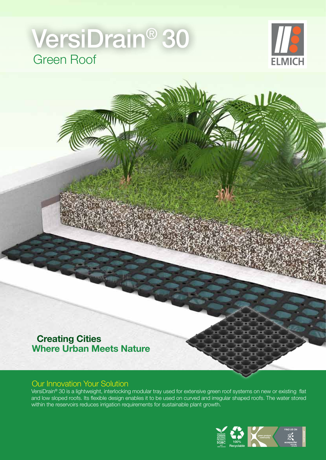# Green Roof VersiDrain® 30



### **Creating Cities Where Urban Meets Nature**

#### Our Innovation Your Solution

VersiDrain® 30 is a lightweight, interlocking modular tray used for extensive green roof systems on new or existing flat and low sloped roofs. Its flexible design enables it to be used on curved and irregular shaped roofs. The water stored within the reservoirs reduces irrigation requirements for sustainable plant growth.